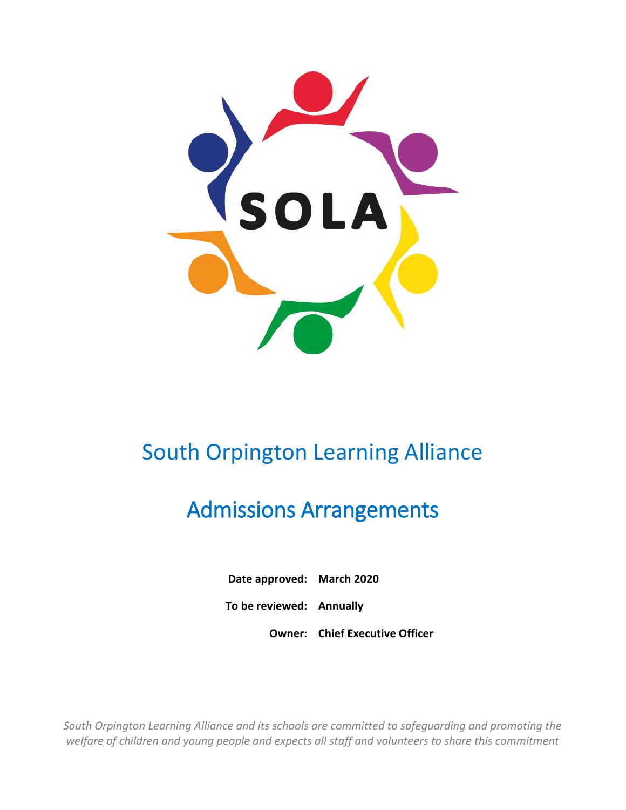

# South Orpington Learning Alliance

# Admissions Arrangements

**Date approved: March 2020**

**To be reviewed: Annually**

**Owner: Chief Executive Officer**

*South Orpington Learning Alliance and its schools are committed to safeguarding and promoting the welfare of children and young people and expects all staff and volunteers to share this commitment*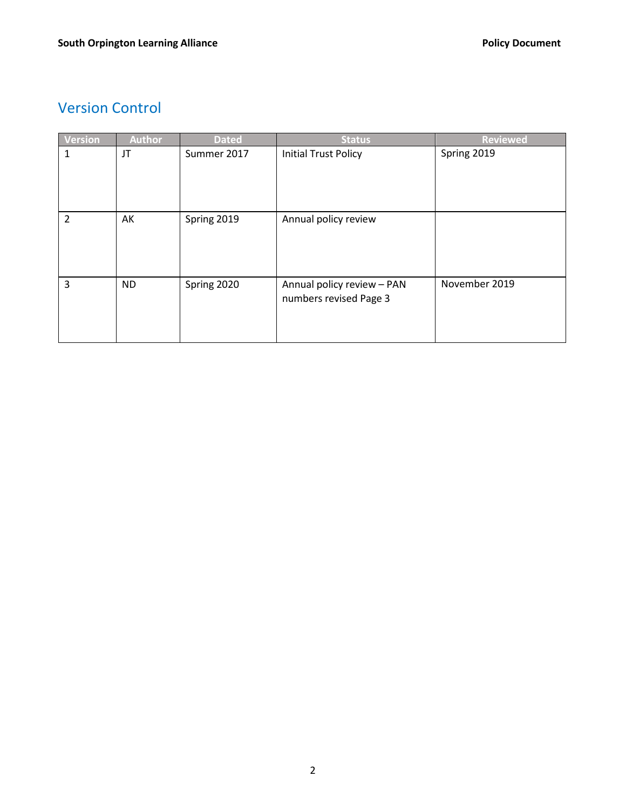# Version Control

| <b>Version</b> | <b>Author</b> | <b>Dated</b> | <b>Status</b>                                        | <b>Reviewed</b> |
|----------------|---------------|--------------|------------------------------------------------------|-----------------|
| 1              | JT            | Summer 2017  | <b>Initial Trust Policy</b>                          | Spring 2019     |
| $\overline{2}$ | AK            | Spring 2019  | Annual policy review                                 |                 |
| 3              | <b>ND</b>     | Spring 2020  | Annual policy review - PAN<br>numbers revised Page 3 | November 2019   |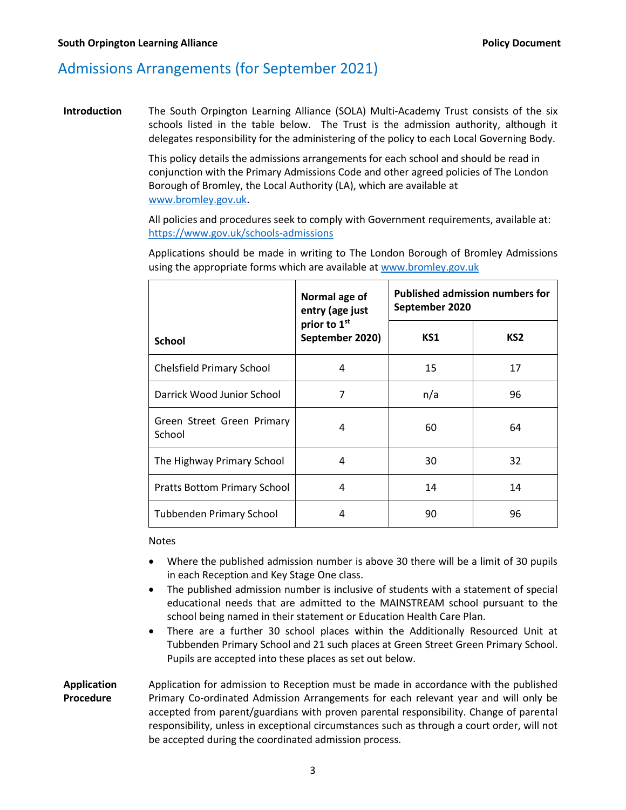# Admissions Arrangements (for September 2021)

**Introduction** The South Orpington Learning Alliance (SOLA) Multi-Academy Trust consists of the six schools listed in the table below. The Trust is the admission authority, although it delegates responsibility for the administering of the policy to each Local Governing Body.

> This policy details the admissions arrangements for each school and should be read in conjunction with the Primary Admissions Code and other agreed policies of The London Borough of Bromley, the Local Authority (LA), which are available at [www.bromley.gov.uk.](http://www.bromley.gov.uk/)

> All policies and procedures seek to comply with Government requirements, available at: <https://www.gov.uk/schools-admissions>

Applications should be made in writing to The London Borough of Bromley Admissions using the appropriate forms which are available a[t www.bromley.gov.uk](http://www.bromley.gov.uk/)

|                                      | Normal age of<br>entry (age just | <b>Published admission numbers for</b><br>September 2020 |                 |
|--------------------------------------|----------------------------------|----------------------------------------------------------|-----------------|
| <b>School</b>                        | prior to 1st<br>September 2020)  | KS1                                                      | KS <sub>2</sub> |
| <b>Chelsfield Primary School</b>     | 4                                | 15                                                       | 17              |
| Darrick Wood Junior School           | 7                                | n/a                                                      | 96              |
| Green Street Green Primary<br>School | 4                                | 60                                                       | 64              |
| The Highway Primary School           | 4                                | 30                                                       | 32              |
| <b>Pratts Bottom Primary School</b>  | 4                                | 14                                                       | 14              |
| <b>Tubbenden Primary School</b>      | 4                                | 90                                                       | 96              |

Notes

- Where the published admission number is above 30 there will be a limit of 30 pupils in each Reception and Key Stage One class.
- The published admission number is inclusive of students with a statement of special educational needs that are admitted to the MAINSTREAM school pursuant to the school being named in their statement or Education Health Care Plan.
- There are a further 30 school places within the Additionally Resourced Unit at Tubbenden Primary School and 21 such places at Green Street Green Primary School. Pupils are accepted into these places as set out below.

**Application Procedure** Application for admission to Reception must be made in accordance with the published Primary Co-ordinated Admission Arrangements for each relevant year and will only be accepted from parent/guardians with proven parental responsibility. Change of parental responsibility, unless in exceptional circumstances such as through a court order, will not be accepted during the coordinated admission process.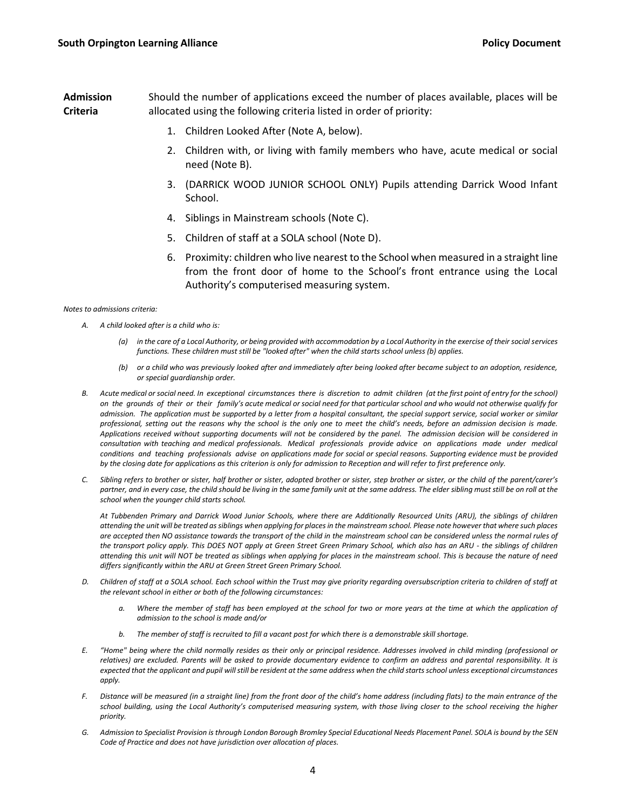**Admission Criteria** Should the number of applications exceed the number of places available, places will be allocated using the following criteria listed in order of priority:

- 1. Children Looked After (Note A, below).
- 2. Children with, or living with family members who have, acute medical or social need (Note B).
- 3. (DARRICK WOOD JUNIOR SCHOOL ONLY) Pupils attending Darrick Wood Infant School.
- 4. Siblings in Mainstream schools (Note C).
- 5. Children of staff at a SOLA school (Note D).
- 6. Proximity: children who live nearest to the School when measured in a straight line from the front door of home to the School's front entrance using the Local Authority's computerised measuring system.

*Notes to admissions criteria:*

- *A. A child looked after is a child who is:*
	- *(a) in the care of a Local Authority, or being provided with accommodation by a Local Authority in the exercise of their social services functions. These children must still be "looked after" when the child starts school unless (b) applies.*
	- *(b) or a child who was previously looked after and immediately after being looked after became subject to an adoption, residence, or special guardianship order.*
- *B. Acute medical or social need. In exceptional circumstances there is discretion to admit children (at the first point of entry for the school) on the grounds of their or their family's acute medical or social need for that particular school and who would not otherwise qualify for admission. The application must be supported by a letter from a hospital consultant, the special support service, social worker or similar professional, setting out the reasons why the school is the only one to meet the child's needs, before an admission decision is made. Applications received without supporting documents will not be considered by the panel. The admission decision will be considered in consultation with teaching and medical professionals. Medical professionals provide advice on applications made under medical conditions and teaching professionals advise on applications made for social or special reasons. Supporting evidence must be provided by the closing date for applications as this criterion is only for admission to Reception and will refer to first preference only.*
- *C. Sibling refers to brother or sister, half brother or sister, adopted brother or sister, step brother or sister, or the child of the parent/carer's partner, and in every case, the child should be living in the same family unit at the same address. The elder sibling must still be on roll at the school when the younger child starts school.*

*At Tubbenden Primary and Darrick Wood Junior Schools, where there are Additionally Resourced Units (ARU), the siblings of children attending the unit will be treated as siblings when applying for places in the mainstream school. Please note however that where such places are accepted then NO assistance towards the transport of the child in the mainstream school can be considered unless the normal rules of the transport policy apply. This DOES NOT apply at Green Street Green Primary School, which also has an ARU - the siblings of children attending this unit will NOT be treated as siblings when applying for places in the mainstream school. This is because the nature of need differs significantly within the ARU at Green Street Green Primary School.*

- *D. Children of staff at a SOLA school. Each school within the Trust may give priority regarding oversubscription criteria to children of staff at the relevant school in either or both of the following circumstances:*
	- *a. Where the member of staff has been employed at the school for two or more years at the time at which the application of admission to the school is made and/or*
	- *b. The member of staff is recruited to fill a vacant post for which there is a demonstrable skill shortage.*
- *E. "Home" being where the child normally resides as their only or principal residence. Addresses involved in child minding (professional or relatives) are excluded. Parents will be asked to provide documentary evidence to confirm an address and parental responsibility. It is expected that the applicant and pupil will still be resident at the same address when the child starts school unless exceptional circumstances apply.*
- *F. Distance will be measured (in a straight line) from the front door of the child's home address (including flats) to the main entrance of the*  school building, using the Local Authority's computerised measuring system, with those living closer to the school receiving the higher *priority.*
- *G. Admission to Specialist Provision is through London Borough Bromley Special Educational Needs Placement Panel. SOLA is bound by the SEN Code of Practice and does not have jurisdiction over allocation of places.*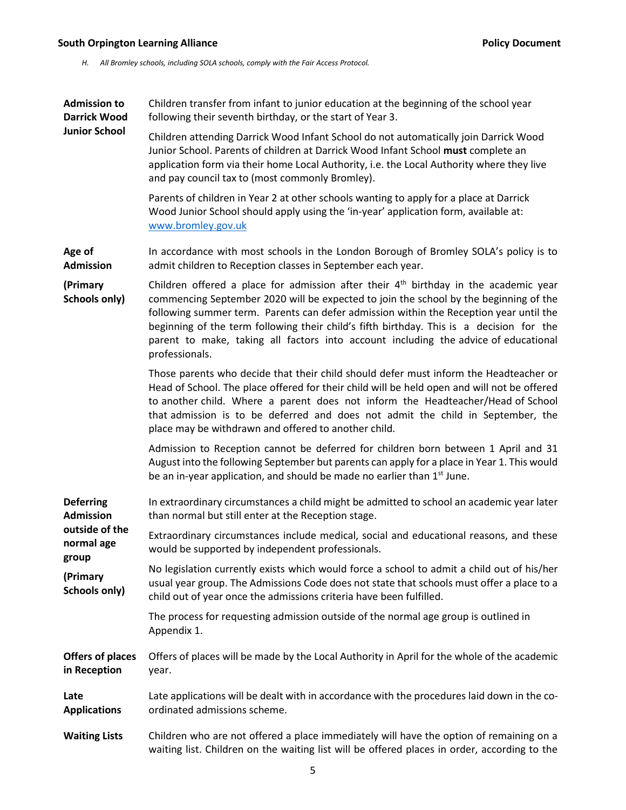#### **South Orpington Learning Alliance Alliance Alliance Research Controller Controller Policy Document**

*H. All Bromley schools, including SOLA schools, comply with the Fair Access Protocol.* 

**Admission to Darrick Wood Junior School** Children transfer from infant to junior education at the beginning of the school year following their seventh birthday, or the start of Year 3. Children attending Darrick Wood Infant School do not automatically join Darrick Wood Junior School. Parents of children at Darrick Wood Infant School **must** complete an application form via their home Local Authority, i.e. the Local Authority where they live and pay council tax to (most commonly Bromley). Parents of children in Year 2 at other schools wanting to apply for a place at Darrick Wood Junior School should apply using the 'in-year' application form, available at: [www.bromley.gov.uk](http://www.bromley.gov.uk/) **Age of Admission (Primary Schools only)** In accordance with most schools in the London Borough of Bromley SOLA's policy is to admit children to Reception classes in September each year. Children offered a place for admission after their  $4<sup>th</sup>$  birthday in the academic year commencing September 2020 will be expected to join the school by the beginning of the following summer term. Parents can defer admission within the Reception year until the beginning of the term following their child's fifth birthday. This is a decision for the parent to make, taking all factors into account including the advice of educational professionals. Those parents who decide that their child should defer must inform the Headteacher or Head of School. The place offered for their child will be held open and will not be offered to another child. Where a parent does not inform the Headteacher/Head of School that admission is to be deferred and does not admit the child in September, the place may be withdrawn and offered to another child. Admission to Reception cannot be deferred for children born between 1 April and 31 August into the following September but parents can apply for a place in Year 1. This would be an in-year application, and should be made no earlier than  $1<sup>st</sup>$  June. **Deferring Admission outside of the normal age group (Primary Schools only)** In extraordinary circumstances a child might be admitted to school an academic year later than normal but still enter at the Reception stage. Extraordinary circumstances include medical, social and educational reasons, and these would be supported by independent professionals. No legislation currently exists which would force a school to admit a child out of his/her usual year group. The Admissions Code does not state that schools must offer a place to a child out of year once the admissions criteria have been fulfilled. The process for requesting admission outside of the normal age group is outlined in Appendix 1. **Offers of places in Reception** Offers of places will be made by the Local Authority in April for the whole of the academic year. **Late Applications** Late applications will be dealt with in accordance with the procedures laid down in the coordinated admissions scheme. **Waiting Lists** Children who are not offered a place immediately will have the option of remaining on a waiting list. Children on the waiting list will be offered places in order, according to the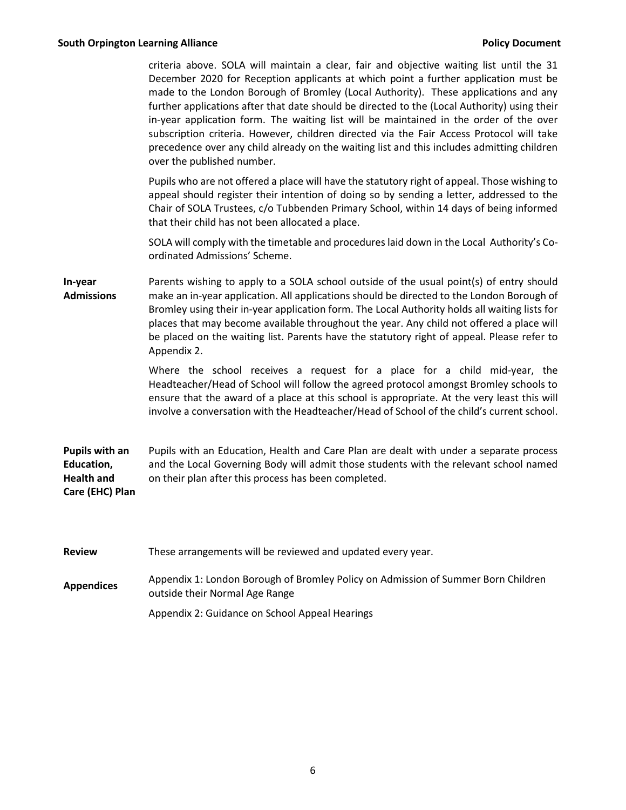criteria above. SOLA will maintain a clear, fair and objective waiting list until the 31 December 2020 for Reception applicants at which point a further application must be made to the London Borough of Bromley (Local Authority). These applications and any further applications after that date should be directed to the (Local Authority) using their in-year application form. The waiting list will be maintained in the order of the over subscription criteria. However, children directed via the Fair Access Protocol will take precedence over any child already on the waiting list and this includes admitting children over the published number.

Pupils who are not offered a place will have the statutory right of appeal. Those wishing to appeal should register their intention of doing so by sending a letter, addressed to the Chair of SOLA Trustees, c/o Tubbenden Primary School, within 14 days of being informed that their child has not been allocated a place.

SOLA will comply with the timetable and procedures laid down in the Local Authority's Coordinated Admissions' Scheme.

**In-year Admissions** Parents wishing to apply to a SOLA school outside of the usual point(s) of entry should make an in-year application. All applications should be directed to the London Borough of Bromley using their in-year application form. The Local Authority holds all waiting lists for places that may become available throughout the year. Any child not offered a place will be placed on the waiting list. Parents have the statutory right of appeal. Please refer to Appendix 2.

> Where the school receives a request for a place for a child mid-year, the Headteacher/Head of School will follow the agreed protocol amongst Bromley schools to ensure that the award of a place at this school is appropriate. At the very least this will involve a conversation with the Headteacher/Head of School of the child's current school.

**Pupils with an Education, Health and Care (EHC) Plan** Pupils with an Education, Health and Care Plan are dealt with under a separate process and the Local Governing Body will admit those students with the relevant school named on their plan after this process has been completed.

| <b>Review</b>     | These arrangements will be reviewed and updated every year.                                                         |
|-------------------|---------------------------------------------------------------------------------------------------------------------|
| <b>Appendices</b> | Appendix 1: London Borough of Bromley Policy on Admission of Summer Born Children<br>outside their Normal Age Range |

Appendix 2: Guidance on School Appeal Hearings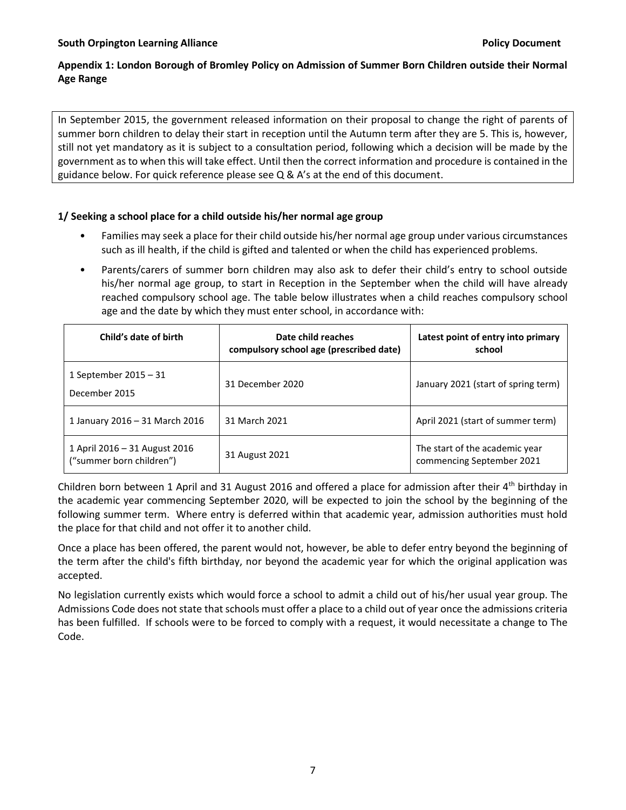## **Appendix 1: London Borough of Bromley Policy on Admission of Summer Born Children outside their Normal Age Range**

In September 2015, the government released information on their proposal to change the right of parents of summer born children to delay their start in reception until the Autumn term after they are 5. This is, however, still not yet mandatory as it is subject to a consultation period, following which a decision will be made by the government as to when this will take effect. Until then the correct information and procedure is contained in the guidance below. For quick reference please see Q & A's at the end of this document.

### **1/ Seeking a school place for a child outside his/her normal age group**

- Families may seek a place for their child outside his/her normal age group under various circumstances such as ill health, if the child is gifted and talented or when the child has experienced problems.
- Parents/carers of summer born children may also ask to defer their child's entry to school outside his/her normal age group, to start in Reception in the September when the child will have already reached compulsory school age. The table below illustrates when a child reaches compulsory school age and the date by which they must enter school, in accordance with:

| Child's date of birth                                     | Date child reaches<br>compulsory school age (prescribed date) | Latest point of entry into primary<br>school                |
|-----------------------------------------------------------|---------------------------------------------------------------|-------------------------------------------------------------|
| 1 September 2015 $-31$<br>December 2015                   | 31 December 2020                                              | January 2021 (start of spring term)                         |
| 1 January 2016 - 31 March 2016                            | 31 March 2021                                                 | April 2021 (start of summer term)                           |
| 1 April 2016 – 31 August 2016<br>("summer born children") | 31 August 2021                                                | The start of the academic year<br>commencing September 2021 |

Children born between 1 April and 31 August 2016 and offered a place for admission after their 4th birthday in the academic year commencing September 2020, will be expected to join the school by the beginning of the following summer term. Where entry is deferred within that academic year, admission authorities must hold the place for that child and not offer it to another child.

Once a place has been offered, the parent would not, however, be able to defer entry beyond the beginning of the term after the child's fifth birthday, nor beyond the academic year for which the original application was accepted.

No legislation currently exists which would force a school to admit a child out of his/her usual year group. The Admissions Code does not state that schools must offer a place to a child out of year once the admissions criteria has been fulfilled. If schools were to be forced to comply with a request, it would necessitate a change to The Code.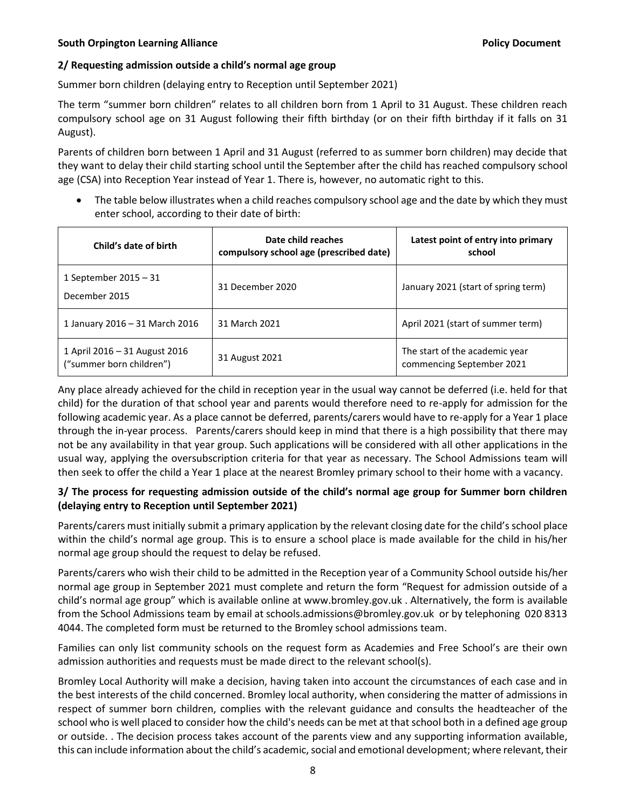#### **South Orpington Learning Alliance Contract Contract Contract Contract Policy Document**

#### **2/ Requesting admission outside a child's normal age group**

Summer born children (delaying entry to Reception until September 2021)

The term "summer born children" relates to all children born from 1 April to 31 August. These children reach compulsory school age on 31 August following their fifth birthday (or on their fifth birthday if it falls on 31 August).

Parents of children born between 1 April and 31 August (referred to as summer born children) may decide that they want to delay their child starting school until the September after the child has reached compulsory school age (CSA) into Reception Year instead of Year 1. There is, however, no automatic right to this.

• The table below illustrates when a child reaches compulsory school age and the date by which they must enter school, according to their date of birth:

| Child's date of birth                                     | Date child reaches<br>compulsory school age (prescribed date) | Latest point of entry into primary<br>school                |
|-----------------------------------------------------------|---------------------------------------------------------------|-------------------------------------------------------------|
| 1 September 2015 $-31$<br>December 2015                   | 31 December 2020                                              | January 2021 (start of spring term)                         |
| 1 January 2016 - 31 March 2016                            | 31 March 2021                                                 | April 2021 (start of summer term)                           |
| 1 April 2016 – 31 August 2016<br>("summer born children") | 31 August 2021                                                | The start of the academic year<br>commencing September 2021 |

Any place already achieved for the child in reception year in the usual way cannot be deferred (i.e. held for that child) for the duration of that school year and parents would therefore need to re-apply for admission for the following academic year. As a place cannot be deferred, parents/carers would have to re-apply for a Year 1 place through the in-year process. Parents/carers should keep in mind that there is a high possibility that there may not be any availability in that year group. Such applications will be considered with all other applications in the usual way, applying the oversubscription criteria for that year as necessary. The School Admissions team will then seek to offer the child a Year 1 place at the nearest Bromley primary school to their home with a vacancy.

### **3/ The process for requesting admission outside of the child's normal age group for Summer born children (delaying entry to Reception until September 2021)**

Parents/carers must initially submit a primary application by the relevant closing date for the child's school place within the child's normal age group. This is to ensure a school place is made available for the child in his/her normal age group should the request to delay be refused.

Parents/carers who wish their child to be admitted in the Reception year of a Community School outside his/her normal age group in September 2021 must complete and return the form "Request for admission outside of a child's normal age group" which is available online at www.bromley.gov.uk . Alternatively, the form is available from the School Admissions team by email at schools.admissions@bromley.gov.uk or by telephoning 020 8313 4044. The completed form must be returned to the Bromley school admissions team.

Families can only list community schools on the request form as Academies and Free School's are their own admission authorities and requests must be made direct to the relevant school(s).

Bromley Local Authority will make a decision, having taken into account the circumstances of each case and in the best interests of the child concerned. Bromley local authority, when considering the matter of admissions in respect of summer born children, complies with the relevant guidance and consults the headteacher of the school who is well placed to consider how the child's needs can be met at that school both in a defined age group or outside. . The decision process takes account of the parents view and any supporting information available, this can include information about the child's academic, social and emotional development; where relevant, their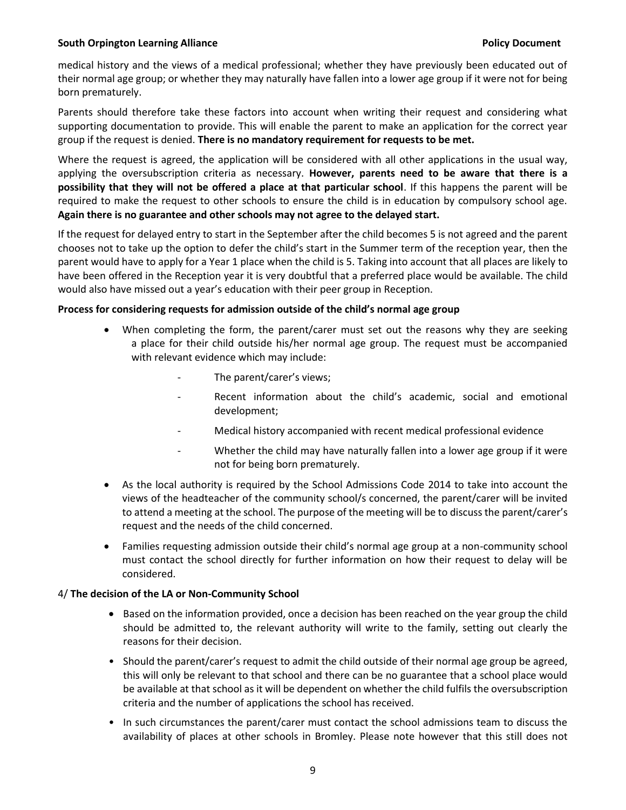#### **South Orpington Learning Alliance Alliance Alliance Research Controller South Disk Policy Document**

medical history and the views of a medical professional; whether they have previously been educated out of their normal age group; or whether they may naturally have fallen into a lower age group if it were not for being born prematurely.

Parents should therefore take these factors into account when writing their request and considering what supporting documentation to provide. This will enable the parent to make an application for the correct year group if the request is denied. **There is no mandatory requirement for requests to be met.**

Where the request is agreed, the application will be considered with all other applications in the usual way, applying the oversubscription criteria as necessary. **However, parents need to be aware that there is a possibility that they will not be offered a place at that particular school**. If this happens the parent will be required to make the request to other schools to ensure the child is in education by compulsory school age. **Again there is no guarantee and other schools may not agree to the delayed start.**

If the request for delayed entry to start in the September after the child becomes 5 is not agreed and the parent chooses not to take up the option to defer the child's start in the Summer term of the reception year, then the parent would have to apply for a Year 1 place when the child is 5. Taking into account that all places are likely to have been offered in the Reception year it is very doubtful that a preferred place would be available. The child would also have missed out a year's education with their peer group in Reception.

#### **Process for considering requests for admission outside of the child's normal age group**

- When completing the form, the parent/carer must set out the reasons why they are seeking a place for their child outside his/her normal age group. The request must be accompanied with relevant evidence which may include:
	- The parent/carer's views;
	- Recent information about the child's academic, social and emotional development;
	- Medical history accompanied with recent medical professional evidence
	- Whether the child may have naturally fallen into a lower age group if it were not for being born prematurely.
- As the local authority is required by the School Admissions Code 2014 to take into account the views of the headteacher of the community school/s concerned, the parent/carer will be invited to attend a meeting at the school. The purpose of the meeting will be to discuss the parent/carer's request and the needs of the child concerned.
- Families requesting admission outside their child's normal age group at a non-community school must contact the school directly for further information on how their request to delay will be considered.

#### 4/ **The decision of the LA or Non-Community School**

- Based on the information provided, once a decision has been reached on the year group the child should be admitted to, the relevant authority will write to the family, setting out clearly the reasons for their decision.
- Should the parent/carer's request to admit the child outside of their normal age group be agreed, this will only be relevant to that school and there can be no guarantee that a school place would be available at that school as it will be dependent on whether the child fulfils the oversubscription criteria and the number of applications the school has received.
- In such circumstances the parent/carer must contact the school admissions team to discuss the availability of places at other schools in Bromley. Please note however that this still does not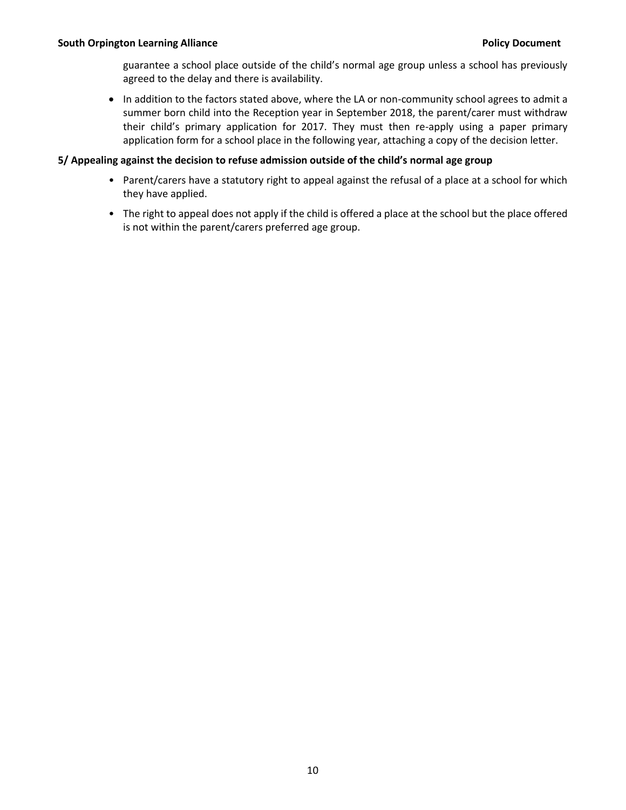guarantee a school place outside of the child's normal age group unless a school has previously agreed to the delay and there is availability.

• In addition to the factors stated above, where the LA or non-community school agrees to admit a summer born child into the Reception year in September 2018, the parent/carer must withdraw their child's primary application for 2017. They must then re-apply using a paper primary application form for a school place in the following year, attaching a copy of the decision letter.

#### **5/ Appealing against the decision to refuse admission outside of the child's normal age group**

- Parent/carers have a statutory right to appeal against the refusal of a place at a school for which they have applied.
- The right to appeal does not apply if the child is offered a place at the school but the place offered is not within the parent/carers preferred age group.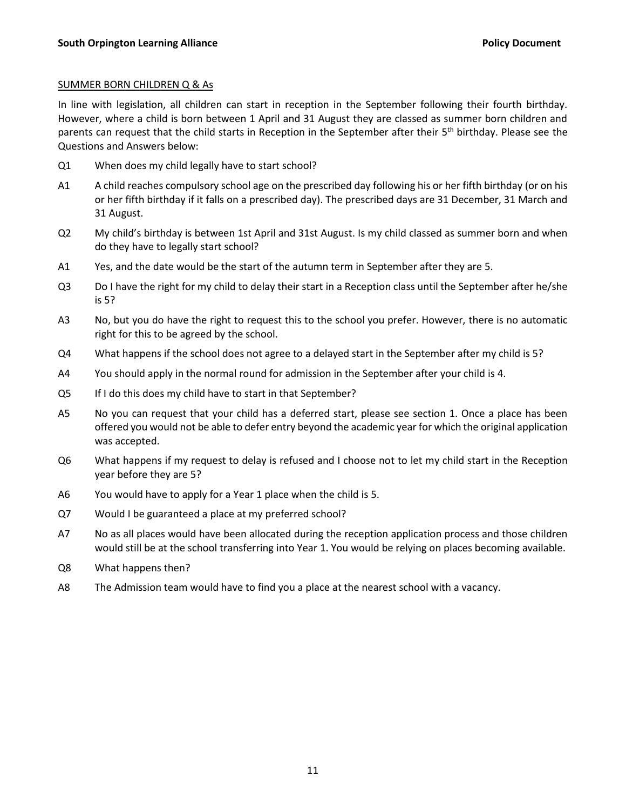#### SUMMER BORN CHILDREN Q & As

In line with legislation, all children can start in reception in the September following their fourth birthday. However, where a child is born between 1 April and 31 August they are classed as summer born children and parents can request that the child starts in Reception in the September after their  $5<sup>th</sup>$  birthday. Please see the Questions and Answers below:

- Q1 When does my child legally have to start school?
- A1 A child reaches compulsory school age on the prescribed day following his or her fifth birthday (or on his or her fifth birthday if it falls on a prescribed day). The prescribed days are 31 December, 31 March and 31 August.
- Q2 My child's birthday is between 1st April and 31st August. Is my child classed as summer born and when do they have to legally start school?
- A1 Yes, and the date would be the start of the autumn term in September after they are 5.
- Q3 Do I have the right for my child to delay their start in a Reception class until the September after he/she is 5?
- A3 No, but you do have the right to request this to the school you prefer. However, there is no automatic right for this to be agreed by the school.
- Q4 What happens if the school does not agree to a delayed start in the September after my child is 5?
- A4 You should apply in the normal round for admission in the September after your child is 4.
- Q5 If I do this does my child have to start in that September?
- A5 No you can request that your child has a deferred start, please see section 1. Once a place has been offered you would not be able to defer entry beyond the academic year for which the original application was accepted.
- Q6 What happens if my request to delay is refused and I choose not to let my child start in the Reception year before they are 5?
- A6 You would have to apply for a Year 1 place when the child is 5.
- Q7 Would I be guaranteed a place at my preferred school?
- A7 No as all places would have been allocated during the reception application process and those children would still be at the school transferring into Year 1. You would be relying on places becoming available.
- Q8 What happens then?
- A8 The Admission team would have to find you a place at the nearest school with a vacancy.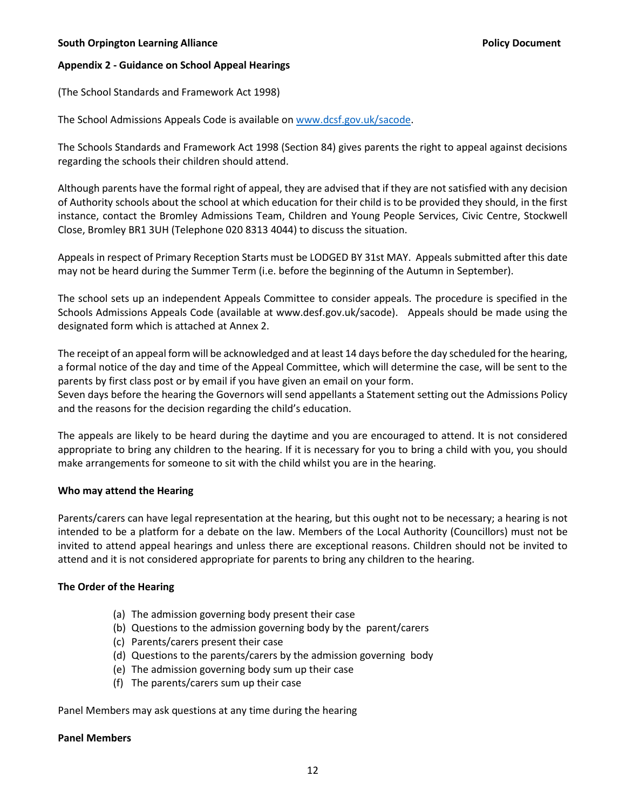#### **South Orpington Learning Alliance Contract Contract Contract Contract Policy Document**

#### **Appendix 2 - Guidance on School Appeal Hearings**

(The School Standards and Framework Act 1998)

The School Admissions Appeals Code is available on [www.dcsf.gov.uk/sacode.](http://www.dcsf.gov.uk/sacode)

The Schools Standards and Framework Act 1998 (Section 84) gives parents the right to appeal against decisions regarding the schools their children should attend.

Although parents have the formal right of appeal, they are advised that if they are not satisfied with any decision of Authority schools about the school at which education for their child is to be provided they should, in the first instance, contact the Bromley Admissions Team, Children and Young People Services, Civic Centre, Stockwell Close, Bromley BR1 3UH (Telephone 020 8313 4044) to discuss the situation.

Appeals in respect of Primary Reception Starts must be LODGED BY 31st MAY. Appeals submitted after this date may not be heard during the Summer Term (i.e. before the beginning of the Autumn in September).

The school sets up an independent Appeals Committee to consider appeals. The procedure is specified in the Schools Admissions Appeals Code (available at www.desf.gov.uk/sacode). Appeals should be made using the designated form which is attached at Annex 2.

The receipt of an appeal form will be acknowledged and at least 14 days before the day scheduled for the hearing, a formal notice of the day and time of the Appeal Committee, which will determine the case, will be sent to the parents by first class post or by email if you have given an email on your form.

Seven days before the hearing the Governors will send appellants a Statement setting out the Admissions Policy and the reasons for the decision regarding the child's education.

The appeals are likely to be heard during the daytime and you are encouraged to attend. It is not considered appropriate to bring any children to the hearing. If it is necessary for you to bring a child with you, you should make arrangements for someone to sit with the child whilst you are in the hearing.

#### **Who may attend the Hearing**

Parents/carers can have legal representation at the hearing, but this ought not to be necessary; a hearing is not intended to be a platform for a debate on the law. Members of the Local Authority (Councillors) must not be invited to attend appeal hearings and unless there are exceptional reasons. Children should not be invited to attend and it is not considered appropriate for parents to bring any children to the hearing.

#### **The Order of the Hearing**

- (a) The admission governing body present their case
- (b) Questions to the admission governing body by the parent/carers
- (c) Parents/carers present their case
- (d) Questions to the parents/carers by the admission governing body
- (e) The admission governing body sum up their case
- (f) The parents/carers sum up their case

Panel Members may ask questions at any time during the hearing

#### **Panel Members**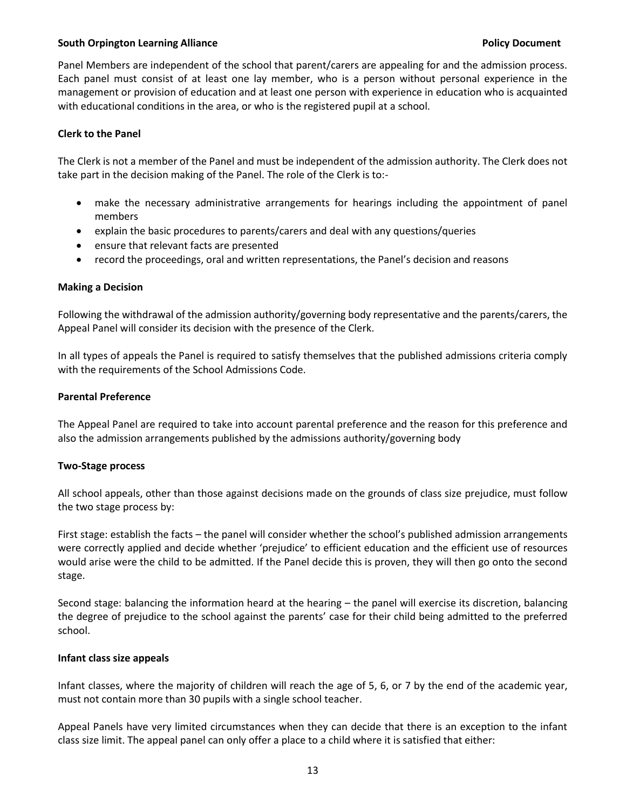#### **South Orpington Learning Alliance Alliance Alliance Research Controller Controller Policy Document**

Panel Members are independent of the school that parent/carers are appealing for and the admission process. Each panel must consist of at least one lay member, who is a person without personal experience in the management or provision of education and at least one person with experience in education who is acquainted with educational conditions in the area, or who is the registered pupil at a school.

#### **Clerk to the Panel**

The Clerk is not a member of the Panel and must be independent of the admission authority. The Clerk does not take part in the decision making of the Panel. The role of the Clerk is to:-

- make the necessary administrative arrangements for hearings including the appointment of panel members
- explain the basic procedures to parents/carers and deal with any questions/queries
- ensure that relevant facts are presented
- record the proceedings, oral and written representations, the Panel's decision and reasons

#### **Making a Decision**

Following the withdrawal of the admission authority/governing body representative and the parents/carers, the Appeal Panel will consider its decision with the presence of the Clerk.

In all types of appeals the Panel is required to satisfy themselves that the published admissions criteria comply with the requirements of the School Admissions Code.

#### **Parental Preference**

The Appeal Panel are required to take into account parental preference and the reason for this preference and also the admission arrangements published by the admissions authority/governing body

#### **Two-Stage process**

All school appeals, other than those against decisions made on the grounds of class size prejudice, must follow the two stage process by:

First stage: establish the facts – the panel will consider whether the school's published admission arrangements were correctly applied and decide whether 'prejudice' to efficient education and the efficient use of resources would arise were the child to be admitted. If the Panel decide this is proven, they will then go onto the second stage.

Second stage: balancing the information heard at the hearing – the panel will exercise its discretion, balancing the degree of prejudice to the school against the parents' case for their child being admitted to the preferred school.

#### **Infant class size appeals**

Infant classes, where the majority of children will reach the age of 5, 6, or 7 by the end of the academic year, must not contain more than 30 pupils with a single school teacher.

Appeal Panels have very limited circumstances when they can decide that there is an exception to the infant class size limit. The appeal panel can only offer a place to a child where it is satisfied that either: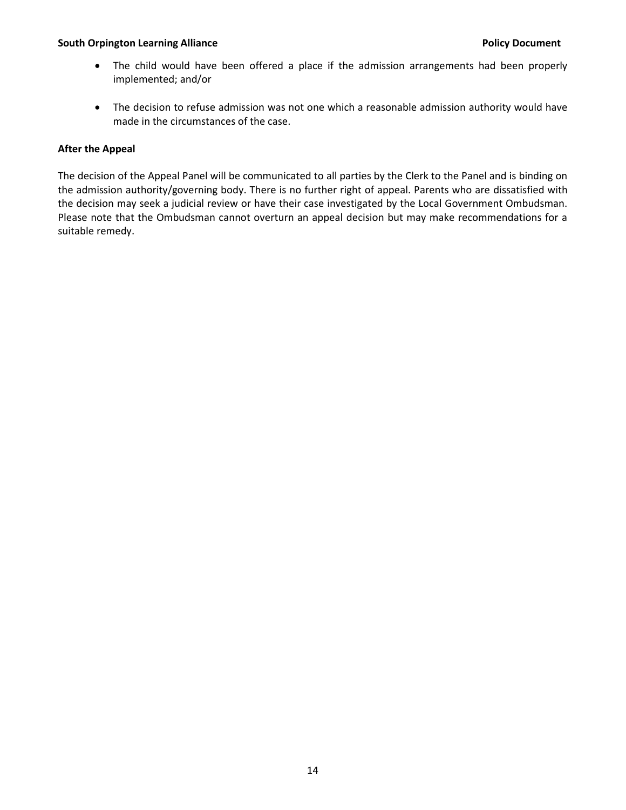#### **South Orpington Learning Alliance Policy Document**

- The child would have been offered a place if the admission arrangements had been properly implemented; and/or
- The decision to refuse admission was not one which a reasonable admission authority would have made in the circumstances of the case.

#### **After the Appeal**

The decision of the Appeal Panel will be communicated to all parties by the Clerk to the Panel and is binding on the admission authority/governing body. There is no further right of appeal. Parents who are dissatisfied with the decision may seek a judicial review or have their case investigated by the Local Government Ombudsman. Please note that the Ombudsman cannot overturn an appeal decision but may make recommendations for a suitable remedy.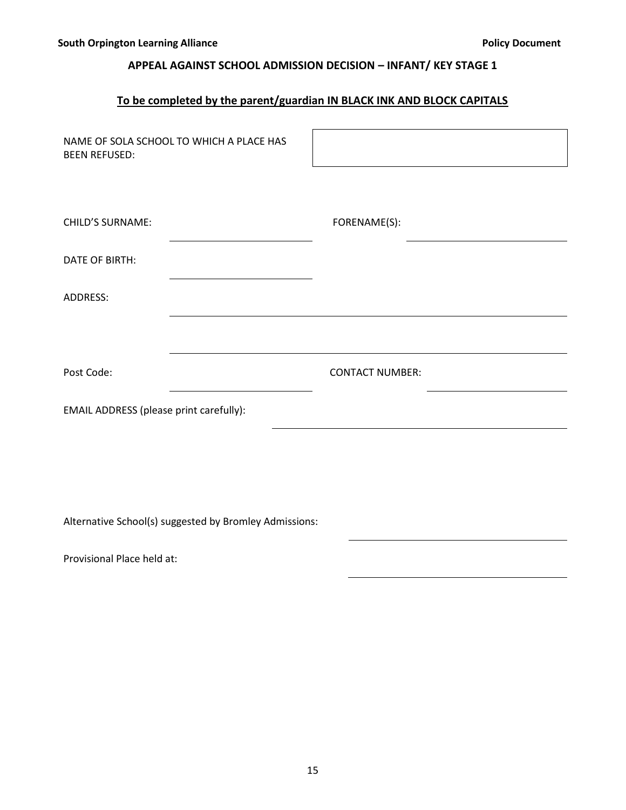## **APPEAL AGAINST SCHOOL ADMISSION DECISION – INFANT/ KEY STAGE 1**

# **To be completed by the parent/guardian IN BLACK INK AND BLOCK CAPITALS**

| NAME OF SOLA SCHOOL TO WHICH A PLACE HAS<br><b>BEEN REFUSED:</b> |                        |
|------------------------------------------------------------------|------------------------|
| <b>CHILD'S SURNAME:</b>                                          | FORENAME(S):           |
| <b>DATE OF BIRTH:</b>                                            |                        |
| ADDRESS:                                                         |                        |
|                                                                  |                        |
| Post Code:                                                       | <b>CONTACT NUMBER:</b> |
| EMAIL ADDRESS (please print carefully):                          |                        |
|                                                                  |                        |
|                                                                  |                        |
| Alternative School(s) suggested by Bromley Admissions:           |                        |

Provisional Place held at: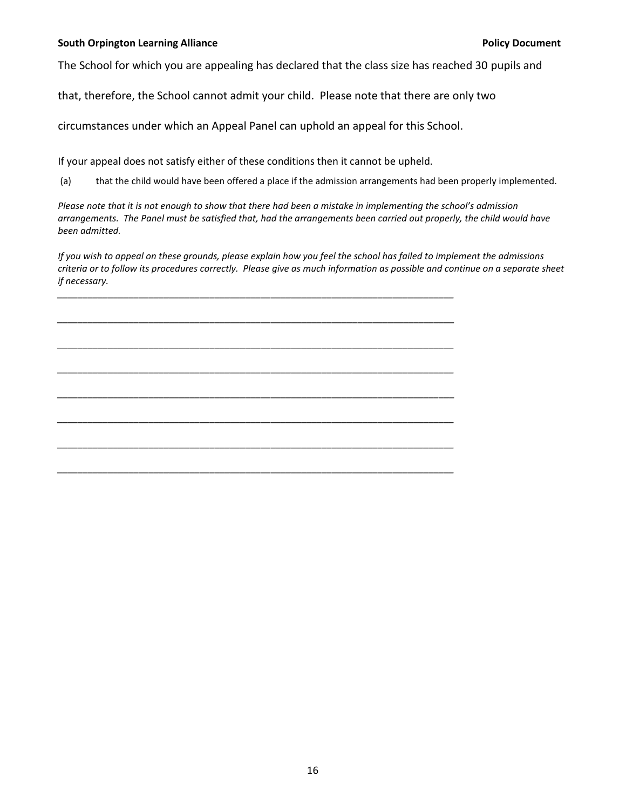#### **South Orpington Learning Alliance Policy Document**

The School for which you are appealing has declared that the class size has reached 30 pupils and

that, therefore, the School cannot admit your child. Please note that there are only two

circumstances under which an Appeal Panel can uphold an appeal for this School.

If your appeal does not satisfy either of these conditions then it cannot be upheld.

*\_\_\_\_\_\_\_\_\_\_\_\_\_\_\_\_\_\_\_\_\_\_\_\_\_\_\_\_\_\_\_\_\_\_\_\_\_\_\_\_\_\_\_\_\_\_\_\_\_\_\_\_\_\_\_\_\_\_\_\_\_\_\_\_\_\_\_\_\_\_\_\_\_\_\_\_\_\_*

*\_\_\_\_\_\_\_\_\_\_\_\_\_\_\_\_\_\_\_\_\_\_\_\_\_\_\_\_\_\_\_\_\_\_\_\_\_\_\_\_\_\_\_\_\_\_\_\_\_\_\_\_\_\_\_\_\_\_\_\_\_\_\_\_\_\_\_\_\_\_\_\_\_\_\_\_\_\_*

*\_\_\_\_\_\_\_\_\_\_\_\_\_\_\_\_\_\_\_\_\_\_\_\_\_\_\_\_\_\_\_\_\_\_\_\_\_\_\_\_\_\_\_\_\_\_\_\_\_\_\_\_\_\_\_\_\_\_\_\_\_\_\_\_\_\_\_\_\_\_\_\_\_\_\_\_\_\_*

*\_\_\_\_\_\_\_\_\_\_\_\_\_\_\_\_\_\_\_\_\_\_\_\_\_\_\_\_\_\_\_\_\_\_\_\_\_\_\_\_\_\_\_\_\_\_\_\_\_\_\_\_\_\_\_\_\_\_\_\_\_\_\_\_\_\_\_\_\_\_\_\_\_\_\_\_\_\_*

*\_\_\_\_\_\_\_\_\_\_\_\_\_\_\_\_\_\_\_\_\_\_\_\_\_\_\_\_\_\_\_\_\_\_\_\_\_\_\_\_\_\_\_\_\_\_\_\_\_\_\_\_\_\_\_\_\_\_\_\_\_\_\_\_\_\_\_\_\_\_\_\_\_\_\_\_\_\_*

*\_\_\_\_\_\_\_\_\_\_\_\_\_\_\_\_\_\_\_\_\_\_\_\_\_\_\_\_\_\_\_\_\_\_\_\_\_\_\_\_\_\_\_\_\_\_\_\_\_\_\_\_\_\_\_\_\_\_\_\_\_\_\_\_\_\_\_\_\_\_\_\_\_\_\_\_\_\_*

*\_\_\_\_\_\_\_\_\_\_\_\_\_\_\_\_\_\_\_\_\_\_\_\_\_\_\_\_\_\_\_\_\_\_\_\_\_\_\_\_\_\_\_\_\_\_\_\_\_\_\_\_\_\_\_\_\_\_\_\_\_\_\_\_\_\_\_\_\_\_\_\_\_\_\_\_\_\_*

*\_\_\_\_\_\_\_\_\_\_\_\_\_\_\_\_\_\_\_\_\_\_\_\_\_\_\_\_\_\_\_\_\_\_\_\_\_\_\_\_\_\_\_\_\_\_\_\_\_\_\_\_\_\_\_\_\_\_\_\_\_\_\_\_\_\_\_\_\_\_\_\_\_\_\_\_\_\_*

(a) that the child would have been offered a place if the admission arrangements had been properly implemented.

*Please note that it is not enough to show that there had been a mistake in implementing the school's admission arrangements. The Panel must be satisfied that, had the arrangements been carried out properly, the child would have been admitted.*

*If you wish to appeal on these grounds, please explain how you feel the school has failed to implement the admissions criteria or to follow its procedures correctly. Please give as much information as possible and continue on a separate sheet if necessary.*

16